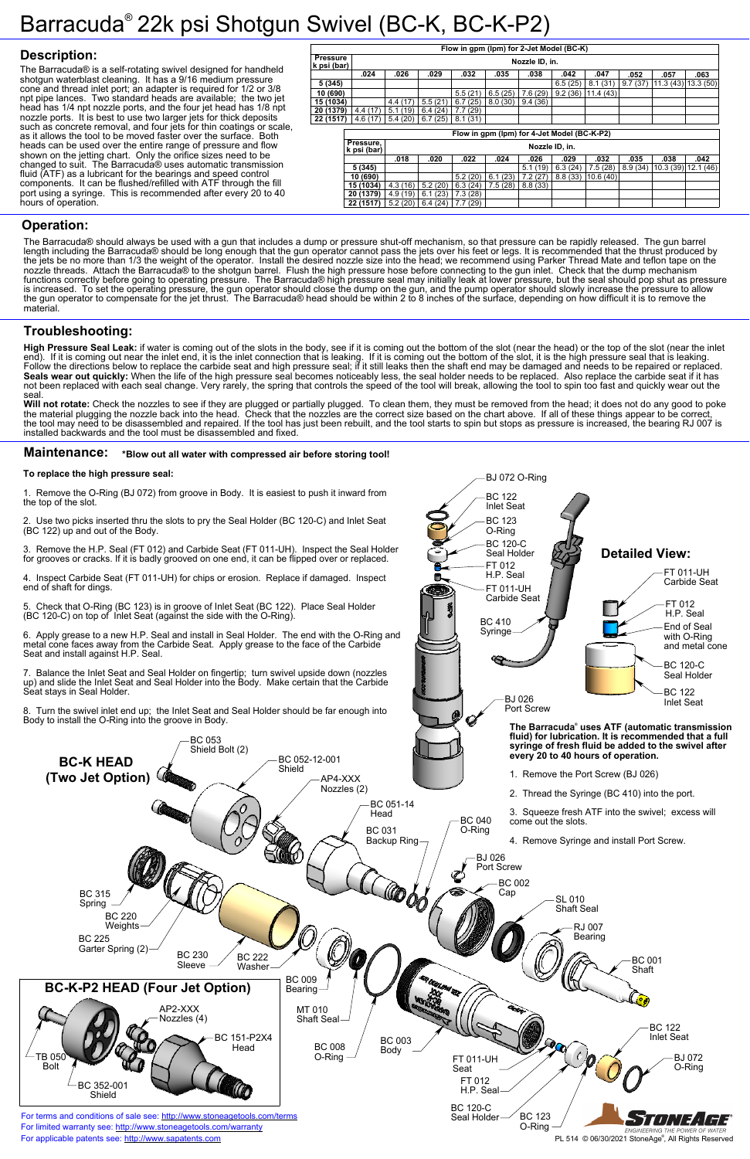

#### **To replace the high pressure seal:**

1. Remove the O-Ring (BJ 072) from groove in Body. It is easiest to push it inward from the top of the slot.

2. Use two picks inserted thru the slots to pry the Seal Holder (BC 120-C) and Inlet Seat (BC 122) up and out of the Body.

3. Remove the H.P. Seal (FT 012) and Carbide Seat (FT 011-UH). Inspect the Seal Holder for grooves or cracks. If it is badly grooved on one end, it can be flipped over or replaced.

4. Inspect Carbide Seat (FT 011-UH) for chips or erosion. Replace if damaged. Inspect end of shaft for dings.

5. Check that O-Ring (BC 123) is in groove of Inlet Seat (BC 122). Place Seal Holder (BC 120-C) on top of Inlet Seat (against the side with the O-Ring).

6. Apply grease to a new H.P. Seal and install in Seal Holder. The end with the O-Ring and metal cone faces away from the Carbide Seat. Apply grease to the face of the Carbide Seat and install against H.P. Seal.

7. Balance the Inlet Seat and Seal Holder on fingertip; turn swivel upside down (nozzles up) and slide the Inlet Seat and Seal Holder into the Body. Make certain that the Carbide Seat stays in Seal Holder.

8. Turn the swivel inlet end up; the Inlet Seat and Seal Holder should be far enough into Body to install the O-Ring into the groove in Body.

## Barracuda® 22k psi Shotgun Swivel (BC-K, BC-K-P2)

## **Description:**

### **Operation:**

## **Troubleshooting:**

Will not rotate: Check the nozzles to see if they are plugged or partially plugged. To clean them, they must be removed from the head; it does not do any good to poke the material plugging the nozzle back into the head. Check that the nozzles are the correct size based on the chart above. If all of these things appear to be correct, the tool may need to be disassembled and repaired. If the tool has just been rebuilt, and the tool starts to spin but stops as pressure is increased, the bearing RJ 007 is installed backwards and the tool must be disassembled and fixed.

#### **Maintenance:** \*Blow out all water with compressed air before storing tool!

The Barracuda® is a self-rotating swivel designed for handheld shotgun waterblast cleaning. It has a 9/16 medium pressure cone and thread inlet port; an adapter is required for 1/2 or 3/8 npt pipe lances. Two standard heads are available; the two jet head has 1/4 npt nozzle ports, and the four jet head has 1/8 npt nozzle ports. It is best to use two larger jets for thick deposits such as concrete removal, and four jets for thin coatings or scale, as it allows the tool to be moved faster over the surface. Both heads can be used over the entire range of pressure and flow shown on the jetting chart. Only the orifice sizes need to be changed to suit. The Barracuda® uses automatic transmission fluid (ATF) as a lubricant for the bearings and speed control components. It can be flushed/refilled with ATF through the fill port using a syringe. This is recommended after every 20 to 40 hours of operation.



The Barracuda® should always be used with a gun that includes a dump or pressure shut-off mechanism, so that pressure can be rapidly released. The gun barrel length including the Barracuda® should be long enough that the gun operator cannot pass the jets over his feet or legs. It is recommended that the thrust produced by the jets be no more than 1/3 the weight of the operator. Install the desired nozzle size into the head; we recommend using Parker Thread Mate and teflon tape on the nozzle threads. Attach the Barracuda® to the shotgun barrel. Flush the high pressure hose before connecting to the gun inlet. Check that the dump mechanism functions correctly before going to operating pressure. The Barracuda® high pressure seal may initially leak at lower pressure, but the seal should pop shut as pressure is increased. To set the operating pressure, the gun operator should close the dump on the gun, and the pump operator should slowly increase the pressure to allow the gun operator to compensate for the jet thrust. The Barracuda® head should be within 2 to 8 inches of the surface, depending on how difficult it is to remove the material.

**22 (1517)** | 5.2 (20) | 6.4 (24) | 7.7 (29)

**High Pressure Seal Leak:** if water is coming out of the slots in the body, see if it is coming out the bottom of the slot (near the head) or the top of the slot (near the inlet end). If it is coming out near the inlet end, it is the inlet connection that is leaking. If it is coming out the bottom of the slot, it is the high pressure seal that is leaking. Follow the directions below to replace the carbide seat and high pressure seal; if it still leaks then the shaft end may be damaged and needs to be repaired or replaced. Seals wear out quickly: When the life of the high pressure seal becomes noticeably less, the seal holder needs to be replaced. Also replace the carbide seat if it has not been replaced with each seal change. Very rarely, the spring that controls the speed of the tool will break, allowing the tool to spin too fast and quickly wear out the seal.

| Flow in gpm (lpm) for 2-Jet Model (BC-K)    |                                            |                |         |         |             |         |         |          |         |          |          |  |
|---------------------------------------------|--------------------------------------------|----------------|---------|---------|-------------|---------|---------|----------|---------|----------|----------|--|
| <b>Pressure</b>                             |                                            | Nozzle ID, in. |         |         |             |         |         |          |         |          |          |  |
| k psi (bar)                                 |                                            |                |         |         |             |         |         |          |         |          |          |  |
|                                             | .024                                       | .026           | .029    | .032    | .035        | .038    | .042    | .047     | .052    | .057     | .063     |  |
| 5(345)                                      |                                            |                |         |         |             |         | 6.5(25) | 8.1(31)  | 9.7(37) | 11.3(43) | 13.3(50) |  |
| 10 (690)                                    |                                            |                |         | 5.5(21) | 6.5(25)     | 7.6(29) | 9.2(36) | 11.4(43) |         |          |          |  |
| 15 (1034)                                   |                                            | 4.4(17)        | 5.5(21) | 6.7(25) | 8.0(30)     | 9.4(36) |         |          |         |          |          |  |
| 20 (1379)                                   | 4.4(17)                                    | 5.1(19)        | 6.4(24) | 7.7(29) |             |         |         |          |         |          |          |  |
| 22 (1517)                                   | 4.6(17)                                    | 5.4(20)        | 6.7(25) | 8.1(31) |             |         |         |          |         |          |          |  |
| Flow in gpm (lpm) for 4-Jet Model (BC-K-P2) |                                            |                |         |         |             |         |         |          |         |          |          |  |
|                                             |                                            |                |         |         |             |         |         |          |         |          |          |  |
|                                             | Pressure,<br>Nozzle ID, in.<br>k psi (bar) |                |         |         |             |         |         |          |         |          |          |  |
|                                             |                                            |                |         |         |             |         |         |          |         |          |          |  |
|                                             |                                            | .018           | .020    | .022    | .024        | .026    | .029    | .032     | .035    | .038     | .042     |  |
|                                             | 5 (345)                                    |                |         |         |             | 5.1(19) | 6.3(24) | 7.5(28)  | 8.9(34) | 10.3(39) | 12.1(46) |  |
|                                             | 10 (690)                                   |                |         | 5.2(20) | 6.1<br>(23) | 7.2(27) | 8.8(33) | 10.6(40) |         |          |          |  |
|                                             | 15 (1034)                                  | 4.3(16)        | 5.2(20) | 6.3(24) | 7.5(28)     | 8.8(33) |         |          |         |          |          |  |
|                                             | 20 (1379)                                  | 4.9(19)        | 6.1(23) | 7.3(28) |             |         |         |          |         |          |          |  |